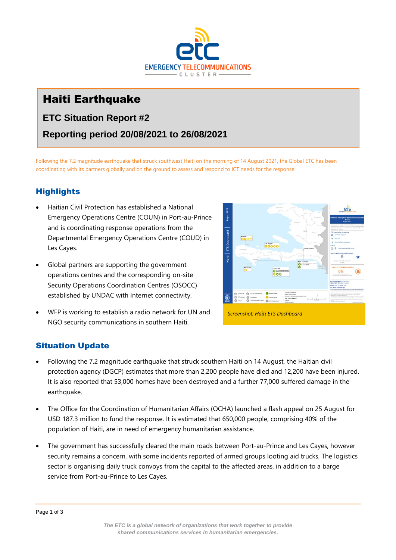

# Haiti Earthquake

## **ETC Situation Report #2**

## **Reporting period 20/08/2021 to 26/08/2021**

Following the 7.2 magnitude earthquake that struck southwest Haiti on the morning of 14 August 2021, the Global ETC has been coordinating with its partners globally and on the ground to assess and respond to ICT needs for the response.

### **Highlights**

- Haitian Civil Protection has established a National Emergency Operations Centre (COUN) in Port-au-Prince and is coordinating response operations from the Departmental Emergency Operations Centre (COUD) in Les Cayes.
- Global partners are supporting the government operations centres and the corresponding on-site Security Operations Coordination Centres (OSOCC) established by UNDAC with Internet connectivity.
- WFP is working to establish a radio network for UN and NGO security communications in southern Haiti.



# Situation Update

- Following the 7.2 magnitude earthquake that struck southern Haiti on 14 August, the Haitian civil protection agency (DGCP) estimates that more than 2,200 people have died and 12,200 have been injured. It is also reported that 53,000 homes have been destroyed and a further 77,000 suffered damage in the earthquake.
- The Office for the Coordination of Humanitarian Affairs (OCHA) launched a flash appeal on 25 August for USD 187.3 million to fund the response. It is estimated that 650,000 people, comprising 40% of the population of Haiti, are in need of emergency humanitarian assistance.
- The government has successfully cleared the main roads between Port-au-Prince and Les Cayes, however security remains a concern, with some incidents reported of armed groups looting aid trucks. The logistics sector is organising daily truck convoys from the capital to the affected areas, in addition to a barge service from Port-au-Prince to Les Cayes.

Page 1 of 3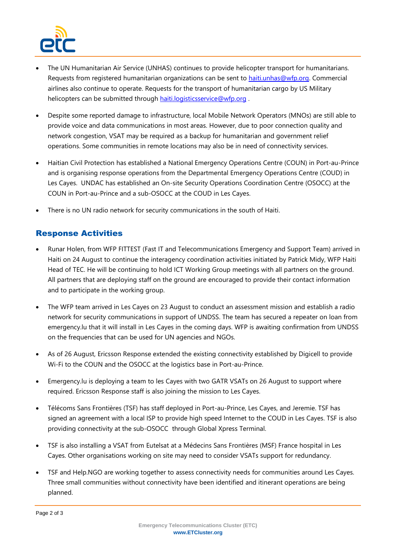

- The UN Humanitarian Air Service (UNHAS) continues to provide helicopter transport for humanitarians. Requests from registered humanitarian organizations can be sent to [haiti.unhas@wfp.org.](mailto:haiti.unhas@wfp.org) Commercial airlines also continue to operate. Requests for the transport of humanitarian cargo by US Military helicopters can be submitted through [haiti.logisticsservice@wfp.org](mailto:haiti.logisticsservice@wfp.org) .
- Despite some reported damage to infrastructure, local Mobile Network Operators (MNOs) are still able to provide voice and data communications in most areas. However, due to poor connection quality and network congestion, VSAT may be required as a backup for humanitarian and government relief operations. Some communities in remote locations may also be in need of connectivity services.
- Haitian Civil Protection has established a National Emergency Operations Centre (COUN) in Port-au-Prince and is organising response operations from the Departmental Emergency Operations Centre (COUD) in Les Cayes. UNDAC has established an On-site Security Operations Coordination Centre (OSOCC) at the COUN in Port-au-Prince and a sub-OSOCC at the COUD in Les Cayes.
- There is no UN radio network for security communications in the south of Haiti.

### Response Activities

- Runar Holen, from WFP FITTEST (Fast IT and Telecommunications Emergency and Support Team) arrived in Haiti on 24 August to continue the interagency coordination activities initiated by Patrick Midy, WFP Haiti Head of TEC. He will be continuing to hold ICT Working Group meetings with all partners on the ground. All partners that are deploying staff on the ground are encouraged to provide their contact information and to participate in the working group.
- The WFP team arrived in Les Cayes on 23 August to conduct an assessment mission and establish a radio network for security communications in support of UNDSS. The team has secured a repeater on loan from emergency.lu that it will install in Les Cayes in the coming days. WFP is awaiting confirmation from UNDSS on the frequencies that can be used for UN agencies and NGOs.
- As of 26 August, Ericsson Response extended the existing connectivity established by Digicell to provide Wi-Fi to the COUN and the OSOCC at the logistics base in Port-au-Prince.
- Emergency.lu is deploying a team to les Cayes with two GATR VSATs on 26 August to support where required. Ericsson Response staff is also joining the mission to Les Cayes.
- Télécoms Sans Frontières (TSF) has staff deployed in Port-au-Prince, Les Cayes, and Jeremie. TSF has signed an agreement with a local ISP to provide high speed Internet to the COUD in Les Cayes. TSF is also providing connectivity at the sub-OSOCC through Global Xpress Terminal.
- TSF is also installing a VSAT from Eutelsat at a Médecins Sans Frontières (MSF) France hospital in Les Cayes. Other organisations working on site may need to consider VSATs support for redundancy.
- TSF and Help.NGO are working together to assess connectivity needs for communities around Les Cayes. Three small communities without connectivity have been identified and itinerant operations are being planned.